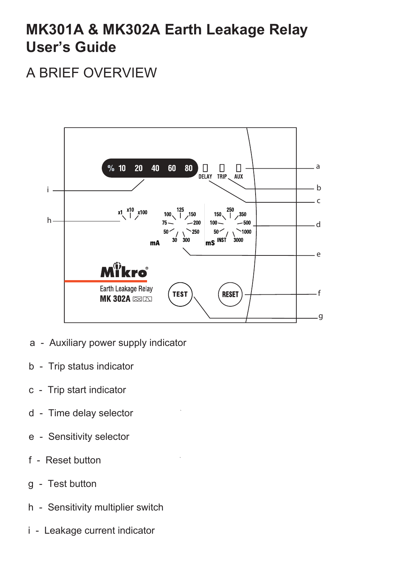# **MK301A & MK302A Earth Leakage Relay User's Guide**

# A BRIEF OVERVIEW



- a Auxiliary power supply indicator
- b Trip status indicator
- c Trip start indicator
- d Time delay selector
- e Sensitivity selector
- f Reset button
- g Test button
- h Sensitivity multiplier switch
- i Leakage current indicator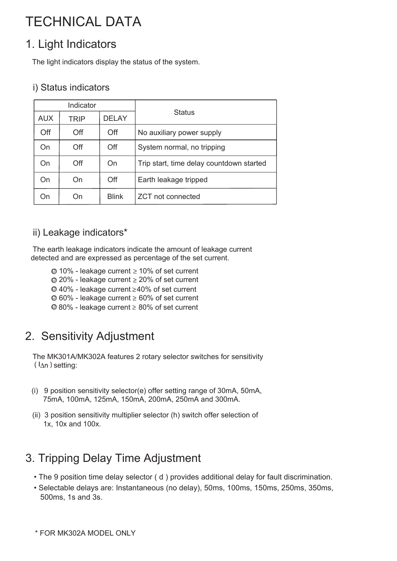# TECHNICAL DATA

# 1. Light Indicators

The light indicators display the status of the system.

#### i) Status indicators

| Indicator  |      |              |                                          |
|------------|------|--------------|------------------------------------------|
| <b>AUX</b> | TRIP | <b>DELAY</b> | <b>Status</b>                            |
| Off        | Off  | Off          | No auxiliary power supply                |
| On         | Off  | Off          | System normal, no tripping               |
| On         | Off  | On           | Trip start, time delay countdown started |
| On         | On   | Off          | Earth leakage tripped                    |
| On)        | On   | <b>Blink</b> | <b>ZCT</b> not connected                 |

#### ii) Leakage indicators\*

The earth leakage indicators indicate the amount of leakage current detected and are expressed as percentage of the set current.

- $\odot$  10% leakage current  $\ge$  10% of set current
- $\odot$  20% leakage current  $\geq$  20% of set current
- $\odot$  40% leakage current  $\geq$  40% of set current
- $\odot$  60% leakage current  $\geq$  60% of set current
- $\odot$  80% leakage current  $\geq$  80% of set current

# 2. Sensitivity Adjustment

The MK301A/MK302A features 2 rotary selector switches for sensitivity  $(l_{\Delta n})$  setting:

- (i) 9 position sensitivity selector(e) offer setting range of 30mA, 50mA, 75mA, 100mA, 125mA, 150mA, 200mA, 250mA and 300mA.
- (ii) 3 position sensitivity multiplier selector (h) switch offer selection of 1x, 10x and 100x.

# 3. Tripping Delay Time Adjustment

- The 9 position time delay selector ( d ) provides additional delay for fault discrimination.
- Selectable delays are: Instantaneous (no delay), 50ms, 100ms, 150ms, 250ms, 350ms, 500ms, 1s and 3s.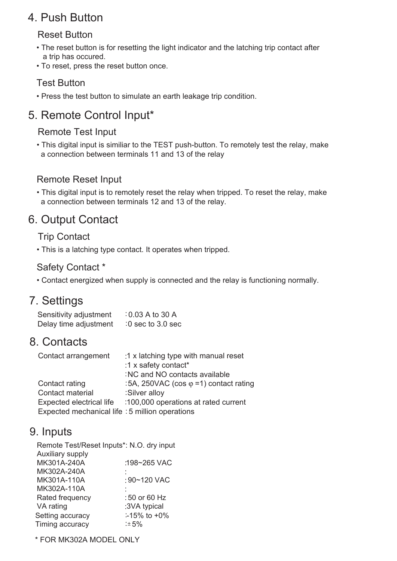## 4. Push Button

#### Reset Button

- The reset button is for resetting the light indicator and the latching trip contact after a trip has occured.
- To reset, press the reset button once.

#### Test Button

• Press the test button to simulate an earth leakage trip condition.

# 5. Remote Control Input\*

#### Remote Test Input

• This digital input is similiar to the TEST push-button. To remotely test the relay, make a connection between terminals 11 and 13 of the relay

#### Remote Reset Input

• This digital input is to remotely reset the relay when tripped. To reset the relay, make a connection between terminals 12 and 13 of the relay.

# 6. Output Contact

#### Trip Contact

• This is a latching type contact. It operates when tripped.

#### Safety Contact \*

• Contact energized when supply is connected and the relay is functioning normally.

## 7. Settings

| Sensitivity adjustment | $: 0.03 A$ to 30 A  |
|------------------------|---------------------|
| Delay time adjustment  | $:0$ sec to 3.0 sec |

### 8. Contacts

| Contact arrangement                             | :1 x latching type with manual reset          |
|-------------------------------------------------|-----------------------------------------------|
|                                                 | :1 x safety contact*                          |
|                                                 | : NC and NO contacts available                |
| Contact rating                                  | :5A, 250VAC (cos $\varphi$ =1) contact rating |
| Contact material                                | :Silver alloy                                 |
| Expected electrical life                        | :100,000 operations at rated current          |
| Expected mechanical life : 5 million operations |                                               |

### 9. Inputs

| Remote Test/Reset Inputs*: N.O. dry input |                   |
|-------------------------------------------|-------------------|
| Auxiliary supply                          |                   |
| MK301A-240A                               | :198~265 VAC      |
| MK302A-240A                               |                   |
| MK301A-110A                               | :90~120 VAC       |
| MK302A-110A                               |                   |
| Rated frequency                           | :50 or 60 Hz      |
| VA rating                                 | :3VA typical      |
| Setting accuracy                          | $-15\%$ to $+0\%$ |
| Timing accuracy                           | :±5%              |
|                                           |                   |

\* FOR MK302A MODEL ONLY